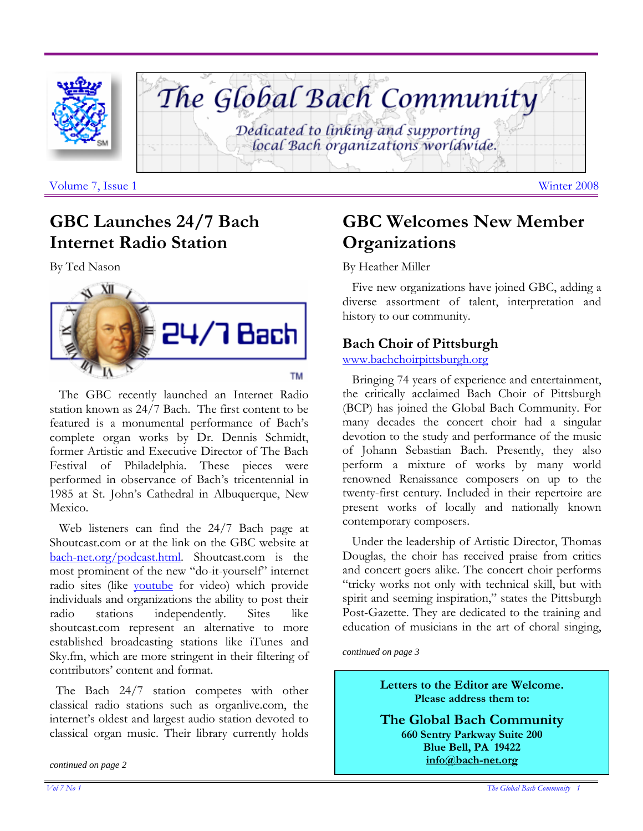



Volume 7, Issue 1 Winter 2008

## **GBC Launches 24/7 Bach Internet Radio Station**

By Ted Nason



 The GBC recently launched an Internet Radio station known as 24/7 Bach. The first content to be featured is a monumental performance of Bach's complete organ works by Dr. Dennis Schmidt, former Artistic and Executive Director of The Bach Festival of Philadelphia. These pieces were performed in observance of Bach's tricentennial in 1985 at St. John's Cathedral in Albuquerque, New Mexico.

 Web listeners can find the 24/7 Bach page at Shoutcast.com or at the link on the GBC website at bach-net.org/podcast.html. Shoutcast.com is the most prominent of the new "do-it-yourself" internet radio sites (like youtube for video) which provide individuals and organizations the ability to post their radio stations independently. Sites like shoutcast.com represent an alternative to more established broadcasting stations like iTunes and Sky.fm, which are more stringent in their filtering of contributors' content and format.

The Bach 24/7 station competes with other classical radio stations such as organlive.com, the internet's oldest and largest audio station devoted to classical organ music. Their library currently holds

*continued on page 2* 

# **GBC Welcomes New Member Organizations**

#### By Heather Miller

 Five new organizations have joined GBC, adding a diverse assortment of talent, interpretation and history to our community.

### **Bach Choir of Pittsburgh**

www.bachchoirpittsburgh.org

 Bringing 74 years of experience and entertainment, the critically acclaimed Bach Choir of Pittsburgh (BCP) has joined the Global Bach Community. For many decades the concert choir had a singular devotion to the study and performance of the music of Johann Sebastian Bach. Presently, they also perform a mixture of works by many world renowned Renaissance composers on up to the twenty-first century. Included in their repertoire are present works of locally and nationally known contemporary composers.

 Under the leadership of Artistic Director, Thomas Douglas, the choir has received praise from critics and concert goers alike. The concert choir performs "tricky works not only with technical skill, but with spirit and seeming inspiration," states the Pittsburgh Post-Gazette. They are dedicated to the training and education of musicians in the art of choral singing,

*continued on page 3* 

**Letters to the Editor are Welcome. Please address them to:** 

**The Global Bach Community 660 Sentry Parkway Suite 200 Blue Bell, PA 19422 info@bach-net.org**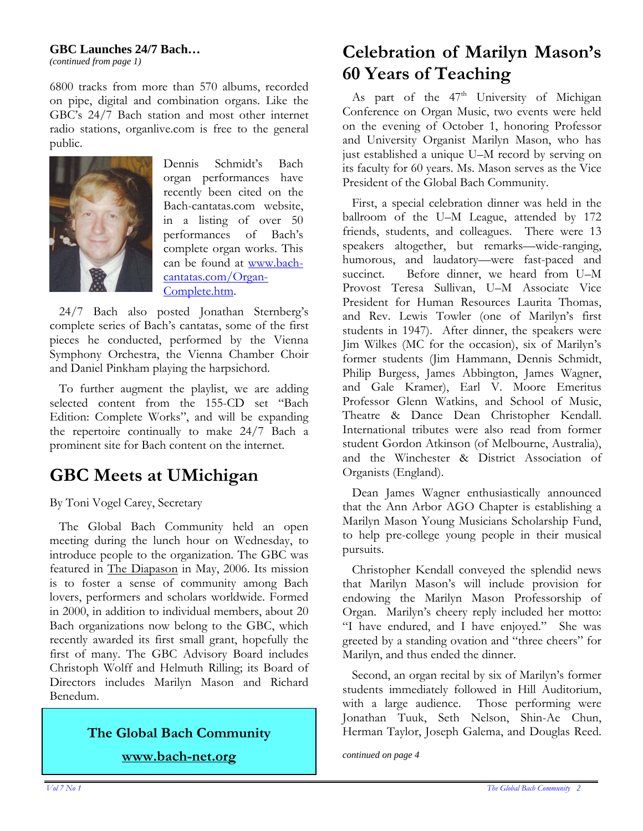#### **GBC Launches 24/7 Bach…**

*(continued from page 1)*

6800 tracks from more than 570 albums, recorded on pipe, digital and combination organs. Like the GBC's 24/7 Bach station and most other internet radio stations, organlive.com is free to the general public.



Dennis Schmidt's Bach organ performances have recently been cited on the Bach-cantatas.com website, in a listing of over 50 performances of Bach's complete organ works. This can be found at www.bachcantatas.com/Organ-Complete.htm.

 24/7 Bach also posted Jonathan Sternberg's complete series of Bach's cantatas, some of the first pieces he conducted, performed by the Vienna Symphony Orchestra, the Vienna Chamber Choir and Daniel Pinkham playing the harpsichord.

 To further augment the playlist, we are adding selected content from the 155-CD set "Bach Edition: Complete Works", and will be expanding the repertoire continually to make 24/7 Bach a prominent site for Bach content on the internet.

## **GBC Meets at UMichigan**

By Toni Vogel Carey, Secretary

 The Global Bach Community held an open meeting during the lunch hour on Wednesday, to introduce people to the organization. The GBC was featured in The Diapason in May, 2006. Its mission is to foster a sense of community among Bach lovers, performers and scholars worldwide. Formed in 2000, in addition to individual members, about 20 Bach organizations now belong to the GBC, which recently awarded its first small grant, hopefully the first of many. The GBC Advisory Board includes Christoph Wolff and Helmuth Rilling; its Board of Directors includes Marilyn Mason and Richard Benedum.

# **The Global Bach Community**

**www.bach-net.org** *continued on page 4* 

## **Celebration of Marilyn Mason's 60 Years of Teaching**

As part of the  $47<sup>th</sup>$  University of Michigan Conference on Organ Music, two events were held on the evening of October 1, honoring Professor and University Organist Marilyn Mason, who has just established a unique U–M record by serving on its faculty for 60 years. Ms. Mason serves as the Vice President of the Global Bach Community.

 First, a special celebration dinner was held in the ballroom of the U–M League, attended by 172 friends, students, and colleagues. There were 13 speakers altogether, but remarks—wide-ranging, humorous, and laudatory—were fast-paced and succinct. Before dinner, we heard from U–M Provost Teresa Sullivan, U–M Associate Vice President for Human Resources Laurita Thomas, and Rev. Lewis Towler (one of Marilyn's first students in 1947). After dinner, the speakers were Jim Wilkes (MC for the occasion), six of Marilyn's former students (Jim Hammann, Dennis Schmidt, Philip Burgess, James Abbington, James Wagner, and Gale Kramer), Earl V. Moore Emeritus Professor Glenn Watkins, and School of Music, Theatre & Dance Dean Christopher Kendall. International tributes were also read from former student Gordon Atkinson (of Melbourne, Australia), and the Winchester & District Association of Organists (England).

 Dean James Wagner enthusiastically announced that the Ann Arbor AGO Chapter is establishing a Marilyn Mason Young Musicians Scholarship Fund, to help pre-college young people in their musical pursuits.

 Christopher Kendall conveyed the splendid news that Marilyn Mason's will include provision for endowing the Marilyn Mason Professorship of Organ. Marilyn's cheery reply included her motto: "I have endured, and I have enjoyed." She was greeted by a standing ovation and "three cheers" for Marilyn, and thus ended the dinner.

 Second, an organ recital by six of Marilyn's former students immediately followed in Hill Auditorium, with a large audience. Those performing were Jonathan Tuuk, Seth Nelson, Shin-Ae Chun, Herman Taylor, Joseph Galema, and Douglas Reed.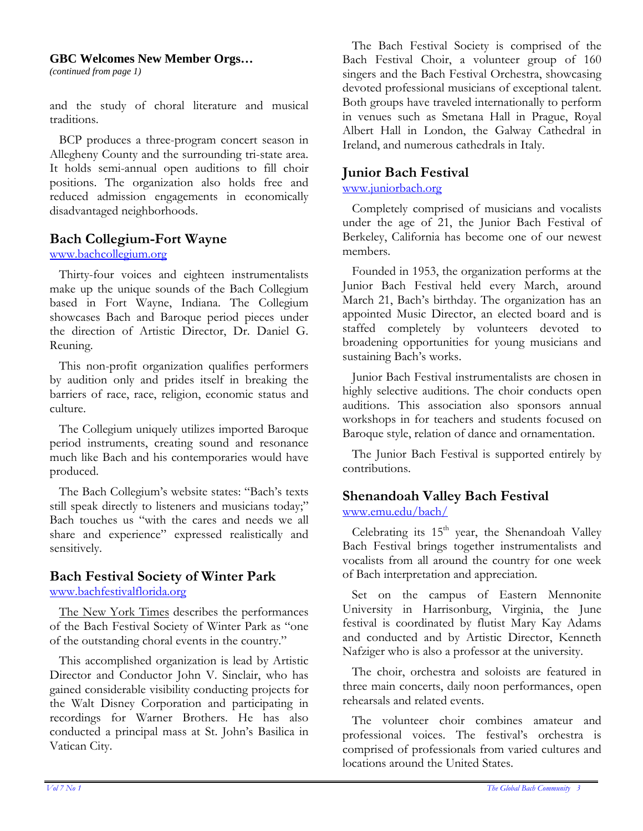#### **GBC Welcomes New Member Orgs…**

*(continued from page 1)*

and the study of choral literature and musical traditions.

 BCP produces a three-program concert season in Allegheny County and the surrounding tri-state area. It holds semi-annual open auditions to fill choir positions. The organization also holds free and reduced admission engagements in economically disadvantaged neighborhoods.

#### **Bach Collegium-Fort Wayne**

#### www.bachcollegium.org

 Thirty-four voices and eighteen instrumentalists make up the unique sounds of the Bach Collegium based in Fort Wayne, Indiana. The Collegium showcases Bach and Baroque period pieces under the direction of Artistic Director, Dr. Daniel G. Reuning.

 This non-profit organization qualifies performers by audition only and prides itself in breaking the barriers of race, race, religion, economic status and culture.

 The Collegium uniquely utilizes imported Baroque period instruments, creating sound and resonance much like Bach and his contemporaries would have produced.

 The Bach Collegium's website states: "Bach's texts still speak directly to listeners and musicians today;" Bach touches us "with the cares and needs we all share and experience" expressed realistically and sensitively.

## **Bach Festival Society of Winter Park**

www.bachfestivalflorida.org

 The New York Times describes the performances of the Bach Festival Society of Winter Park as "one of the outstanding choral events in the country."

 This accomplished organization is lead by Artistic Director and Conductor John V. Sinclair, who has gained considerable visibility conducting projects for the Walt Disney Corporation and participating in recordings for Warner Brothers. He has also conducted a principal mass at St. John's Basilica in Vatican City.

 The Bach Festival Society is comprised of the Bach Festival Choir, a volunteer group of 160 singers and the Bach Festival Orchestra, showcasing devoted professional musicians of exceptional talent. Both groups have traveled internationally to perform in venues such as Smetana Hall in Prague, Royal Albert Hall in London, the Galway Cathedral in Ireland, and numerous cathedrals in Italy.

#### **Junior Bach Festival**

www.juniorbach.org

 Completely comprised of musicians and vocalists under the age of 21, the Junior Bach Festival of Berkeley, California has become one of our newest members.

 Founded in 1953, the organization performs at the Junior Bach Festival held every March, around March 21, Bach's birthday. The organization has an appointed Music Director, an elected board and is staffed completely by volunteers devoted to broadening opportunities for young musicians and sustaining Bach's works.

 Junior Bach Festival instrumentalists are chosen in highly selective auditions. The choir conducts open auditions. This association also sponsors annual workshops in for teachers and students focused on Baroque style, relation of dance and ornamentation.

 The Junior Bach Festival is supported entirely by contributions.

#### **Shenandoah Valley Bach Festival**  www.emu.edu/bach/

Celebrating its  $15<sup>th</sup>$  year, the Shenandoah Valley Bach Festival brings together instrumentalists and vocalists from all around the country for one week of Bach interpretation and appreciation.

 Set on the campus of Eastern Mennonite University in Harrisonburg, Virginia, the June festival is coordinated by flutist Mary Kay Adams and conducted and by Artistic Director, Kenneth Nafziger who is also a professor at the university.

 The choir, orchestra and soloists are featured in three main concerts, daily noon performances, open rehearsals and related events.

 The volunteer choir combines amateur and professional voices. The festival's orchestra is comprised of professionals from varied cultures and locations around the United States.